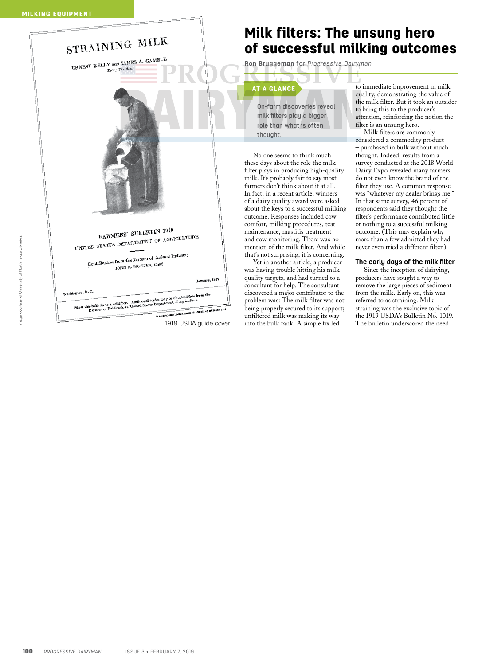|  | STRAINING MILK                                                                                                                                                                                           |               |
|--|----------------------------------------------------------------------------------------------------------------------------------------------------------------------------------------------------------|---------------|
|  | ERNEST KELLY and JAMES A. GAMBLE<br>Dairy Division                                                                                                                                                       |               |
|  |                                                                                                                                                                                                          |               |
|  |                                                                                                                                                                                                          |               |
|  | FARMERS' BULLETIN 1019<br>UNITED STATES DEPARTMENT OF AGRICULTURE<br>Contribution from the Bureau of Animal Industry<br>JOHN R. MOHLER, Chief                                                            |               |
|  |                                                                                                                                                                                                          | January, 1919 |
|  | Washington, D.C.                                                                                                                                                                                         |               |
|  | Show this bulletin to a neighbor. Additional copies may be obtained free from the<br>Division of Publications, United States Department of Agriculture<br>WASHINGTON : GOVERNMENT PRINTING OFFICE I 1918 |               |
|  |                                                                                                                                                                                                          |               |
|  | 1919 USDA quide cover                                                                                                                                                                                    |               |

## Milk filters: The unsung hero of successful milking outcomes

**Ron Bruggeman** for *Progressive Dairyman*

## AT A GLANCE

On-farm discoveries reveal milk filters play a bigger role than what is often thought.

No one seems to think much these days about the role the milk filter plays in producing high-quality milk. It's probably fair to say most farmers don't think about it at all. In fact, in a recent article, winners of a dairy quality award were asked about the keys to a successful milking outcome. Responses included cow comfort, milking procedures, teat maintenance, mastitis treatment and cow monitoring. There was no mention of the milk filter. And while that's not surprising, it is concerning.

Yet in another article, a producer was having trouble hitting his milk quality targets, and had turned to a consultant for help. The consultant discovered a major contributor to the problem was: The milk filter was not being properly secured to its support; unfiltered milk was making its way 1919 USDA guide cover into the bulk tank. A simple fix led The bulletin underscored the need

to immediate improvement in milk quality, demonstrating the value of the milk filter. But it took an outsider to bring this to the producer's attention, reinforcing the notion the filter is an unsung hero.

Milk filters are commonly considered a commodity product – purchased in bulk without much thought. Indeed, results from a survey conducted at the 2018 World Dairy Expo revealed many farmers do not even know the brand of the filter they use. A common response was "whatever my dealer brings me." In that same survey, 46 percent of respondents said they thought the filter's performance contributed little or nothing to a successful milking outcome. (This may explain why more than a few admitted they had never even tried a different filter.)

## **The early days of the milk filter**

Since the inception of dairying, producers have sought a way to remove the large pieces of sediment from the milk. Early on, this was referred to as straining. Milk straining was the exclusive topic of the 1919 USDA's Bulletin No. 1019.